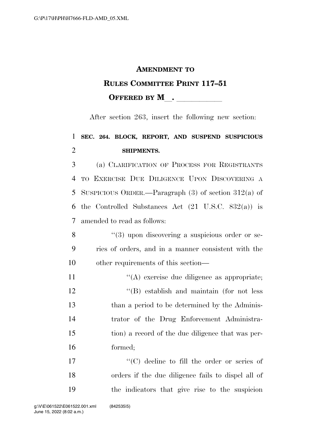## **AMENDMENT TO RULES COMMITTEE PRINT 117–51 OFFERED BY M** .

After section 263, insert the following new section:

## **SEC. 264. BLOCK, REPORT, AND SUSPEND SUSPICIOUS SHIPMENTS.**

 (a) CLARIFICATION OF PROCESS FOR REGISTRANTS TO EXERCISE DUE DILIGENCE UPON DISCOVERING A SUSPICIOUS ORDER.—Paragraph (3) of section 312(a) of the Controlled Substances Act (21 U.S.C. 832(a)) is amended to read as follows:

- 8 ''(3) upon discovering a suspicious order or se- ries of orders, and in a manner consistent with the other requirements of this section—
- 11  $\langle (A)$  exercise due diligence as appropriate; ''(B) establish and maintain (for not less than a period to be determined by the Adminis- trator of the Drug Enforcement Administra- tion) a record of the due diligence that was per-formed;

17  $\langle ^{\prime}(C) \rangle$  decline to fill the order or series of orders if the due diligence fails to dispel all of the indicators that give rise to the suspicion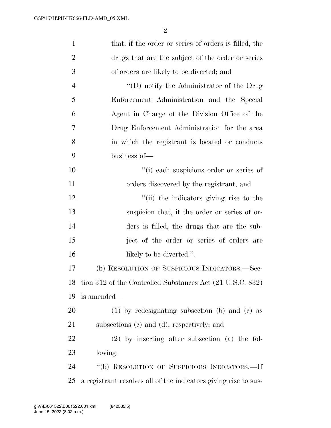| $\mathbf{1}$   | that, if the order or series of orders is filled, the           |
|----------------|-----------------------------------------------------------------|
| $\overline{2}$ | drugs that are the subject of the order or series               |
| 3              | of orders are likely to be diverted; and                        |
| $\overline{4}$ | $\lq\lq$ (D) notify the Administrator of the Drug               |
| 5              | Enforcement Administration and the Special                      |
| 6              | Agent in Charge of the Division Office of the                   |
| 7              | Drug Enforcement Administration for the area                    |
| 8              | in which the registrant is located or conducts                  |
| 9              | business of-                                                    |
| 10             | "(i) each suspicious order or series of                         |
| 11             | orders discovered by the registrant; and                        |
| 12             | "(ii) the indicators giving rise to the                         |
| 13             | suspicion that, if the order or series of or-                   |
| 14             | ders is filled, the drugs that are the sub-                     |
| 15             | ject of the order or series of orders are                       |
| 16             | likely to be diverted.".                                        |
| 17             | (b) RESOLUTION OF SUSPICIOUS INDICATORS.—Sec-                   |
|                | 18 tion 312 of the Controlled Substances Act (21 U.S.C. 832)    |
| 19             | is amended—                                                     |
| 20             | $(1)$ by redesignating subsection (b) and (c) as                |
| 21             | subsections (c) and (d), respectively; and                      |
| 22             | $(2)$ by inserting after subsection $(a)$ the fol-              |
| 23             | lowing:                                                         |
| 24             | "(b) RESOLUTION OF SUSPICIOUS INDICATORS.—If                    |
| 25             | a registrant resolves all of the indicators giving rise to sus- |